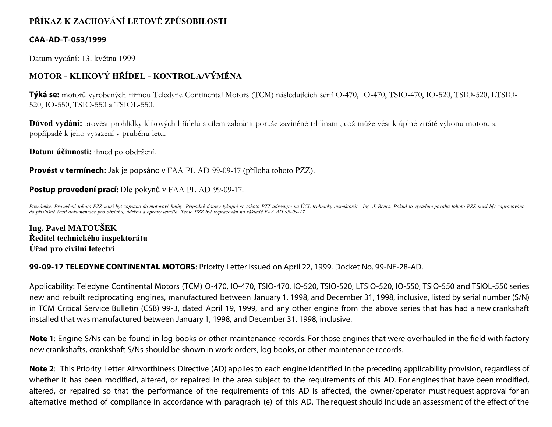## **PŘÍKAZ K ZACHOVÁNÍ LETOVÉ ZPŮSOBILOSTI**

## **CAA-AD-T-053/1999**

Datum vydání: 13. května 1999

## **MOTOR - KLIKOVÝ HŘÍDEL - KONTROLA/VÝMĚNA**

**Týká se:** motorů vyrobených firmou Teledyne Continental Motors (TCM) následujících sérií O-470, IO-470, TSIO-470, IO-520, TSIO-520, LTSIO-520, IO-550, TSIO-550 a TSIOL-550.

**Důvod vydání:** provést prohlídky klikových hřídelů s cílem zabránit poruše zaviněné trhlinami, což může vést k úplné ztrátě výkonu motoru a popřípadě k jeho vysazení v průběhu letu.

**Datum účinnosti:** ihned po obdržení.

**Provést v termínech:** Jak je popsáno v FAA PL AD 99-09-17 (příloha tohoto PZZ).

## **Postup provedení prací:** Dle pokynů v FAA PL AD 99-09-17.

Poznámky: Provedení tohoto PZZ musí být zapsáno do motorové knihy. Případné dotazy týkající se tohoto PZZ adresujte na ÚCL technický inspektorát - Ing. J. Beneš. Pokud to vyžaduje povaha tohoto PZZ musí být zapracováno *do příslušné části dokumentace pro obsluhu, údržbu a opravy letadla. Tento PZZ byl vypracován na základě FAA AD 99-09-17.*

**Ing. Pavel MATOUŠEK Ředitel technického inspektorátu Úřad pro civilní letectví**

**99-09-17 TELEDYNE CONTINENTAL MOTORS**: Priority Letter issued on April 22, 1999. Docket No. 99-NE-28-AD.

Applicability: Teledyne Continental Motors (TCM) O-470, IO-470, TSIO-470, IO-520, TSIO-520, LTSIO-520, IO-550, TSIO-550 and TSIOL-550 series new and rebuilt reciprocating engines, manufactured between January 1, 1998, and December 31, 1998, inclusive, listed by serial number (S/N) in TCM Critical Service Bulletin (CSB) 99-3, dated April 19, 1999, and any other engine from the above series that has had a new crankshaft installed that was manufactured between January 1, 1998, and December 31, 1998, inclusive.

**Note 1**: Engine S/Ns can be found in log books or other maintenance records. For those engines that were overhauled in the field with factory new crankshafts, crankshaft S/Ns should be shown in work orders, log books, or other maintenance records.

**Note 2**: This Priority Letter Airworthiness Directive (AD) applies to each engine identified in the preceding applicability provision, regardless of whether it has been modified, altered, or repaired in the area subject to the requirements of this AD. For engines that have been modified, altered, or repaired so that the performance of the requirements of this AD is affected, the owner/operator must request approval for an alternative method of compliance in accordance with paragraph (e) of this AD. The request should include an assessment of the effect of the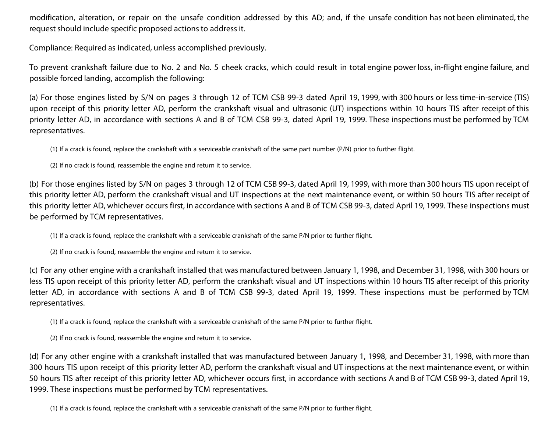modification, alteration, or repair on the unsafe condition addressed by this AD; and, if the unsafe condition has not been eliminated, the request should include specific proposed actions to address it.

Compliance: Required as indicated, unless accomplished previously.

To prevent crankshaft failure due to No. 2 and No. 5 cheek cracks, which could result in total engine power loss, in-flight engine failure, and possible forced landing, accomplish the following:

(a) For those engines listed by S/N on pages 3 through 12 of TCM CSB 99-3 dated April 19, 1999, with 300 hours or less time-in-service (TIS) upon receipt of this priority letter AD, perform the crankshaft visual and ultrasonic (UT) inspections within 10 hours TIS after receipt of this priority letter AD, in accordance with sections A and B of TCM CSB 99-3, dated April 19, 1999. These inspections must be performed by TCM representatives.

(1) If a crack is found, replace the crankshaft with a serviceable crankshaft of the same part number (P/N) prior to further flight.

(2) If no crack is found, reassemble the engine and return it to service.

(b) For those engines listed by S/N on pages 3 through 12 of TCM CSB 99-3, dated April 19, 1999, with more than 300 hours TIS upon receipt of this priority letter AD, perform the crankshaft visual and UT inspections at the next maintenance event, or within 50 hours TIS after receipt of this priority letter AD, whichever occurs first, in accordance with sections A and B of TCM CSB 99-3, dated April 19, 1999. These inspections must be performed by TCM representatives.

(1) If a crack is found, replace the crankshaft with a serviceable crankshaft of the same P/N prior to further flight.

(2) If no crack is found, reassemble the engine and return it to service.

(c) For any other engine with a crankshaft installed that was manufactured between January 1, 1998, and December 31, 1998, with 300 hours or less TIS upon receipt of this priority letter AD, perform the crankshaft visual and UT inspections within 10 hours TIS after receipt of this priority letter AD, in accordance with sections A and B of TCM CSB 99-3, dated April 19, 1999. These inspections must be performed by TCM representatives.

(1) If a crack is found, replace the crankshaft with a serviceable crankshaft of the same P/N prior to further flight.

(2) If no crack is found, reassemble the engine and return it to service.

(d) For any other engine with a crankshaft installed that was manufactured between January 1, 1998, and December 31, 1998, with more than 300 hours TIS upon receipt of this priority letter AD, perform the crankshaft visual and UT inspections at the next maintenance event, or within 50 hours TIS after receipt of this priority letter AD, whichever occurs first, in accordance with sections A and B of TCM CSB 99-3, dated April 19, 1999. These inspections must be performed by TCM representatives.

(1) If a crack is found, replace the crankshaft with a serviceable crankshaft of the same P/N prior to further flight.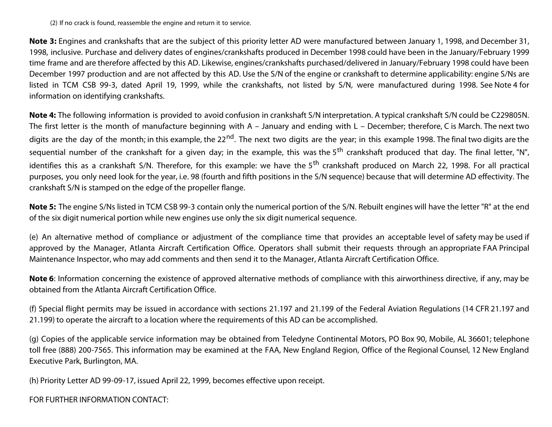(2) If no crack is found, reassemble the engine and return it to service.

**Note 3:** Engines and crankshafts that are the subject of this priority letter AD were manufactured between January 1, 1998, and December 31, 1998, inclusive. Purchase and delivery dates of engines/crankshafts produced in December 1998 could have been in the January/February 1999 time frame and are therefore affected by this AD. Likewise, engines/crankshafts purchased/delivered in January/February 1998 could have been December 1997 production and are not affected by this AD. Use the S/N of the engine or crankshaft to determine applicability: engine S/Ns are listed in TCM CSB 99-3, dated April 19, 1999, while the crankshafts, not listed by S/N, were manufactured during 1998. See Note 4 for information on identifying crankshafts.

**Note 4:** The following information is provided to avoid confusion in crankshaft S/N interpretation. A typical crankshaft S/N could be C229805N. The first letter is the month of manufacture beginning with A – January and ending with L – December; therefore, C is March. The next two digits are the day of the month; in this example, the 22<sup>nd</sup>. The next two digits are the year; in this example 1998. The final two digits are the sequential number of the crankshaft for a given day; in the example, this was the 5<sup>th</sup> crankshaft produced that day. The final letter, "N", identifies this as a crankshaft S/N. Therefore, for this example: we have the 5<sup>th</sup> crankshaft produced on March 22, 1998. For all practical purposes, you only need look for the year, i.e. 98 (fourth and fifth positions in the S/N sequence) because that will determine AD effectivity. The crankshaft S/N is stamped on the edge of the propeller flange.

**Note 5:** The engine S/Ns listed in TCM CSB 99-3 contain only the numerical portion of the S/N. Rebuilt engines will have the letter "R" at the end of the six digit numerical portion while new engines use only the six digit numerical sequence.

(e) An alternative method of compliance or adjustment of the compliance time that provides an acceptable level of safety may be used if approved by the Manager, Atlanta Aircraft Certification Office. Operators shall submit their requests through an appropriate FAA Principal Maintenance Inspector, who may add comments and then send it to the Manager, Atlanta Aircraft Certification Office.

**Note 6**: Information concerning the existence of approved alternative methods of compliance with this airworthiness directive, if any, may be obtained from the Atlanta Aircraft Certification Office.

(f) Special flight permits may be issued in accordance with sections 21.197 and 21.199 of the Federal Aviation Regulations (14 CFR 21.197 and 21.199) to operate the aircraft to a location where the requirements of this AD can be accomplished.

(g) Copies of the applicable service information may be obtained from Teledyne Continental Motors, PO Box 90, Mobile, AL 36601; telephone toll free (888) 200-7565. This information may be examined at the FAA, New England Region, Office of the Regional Counsel, 12 New England Executive Park, Burlington, MA.

(h) Priority Letter AD 99-09-17, issued April 22, 1999, becomes effective upon receipt.

FOR FURTHER INFORMATION CONTACT: